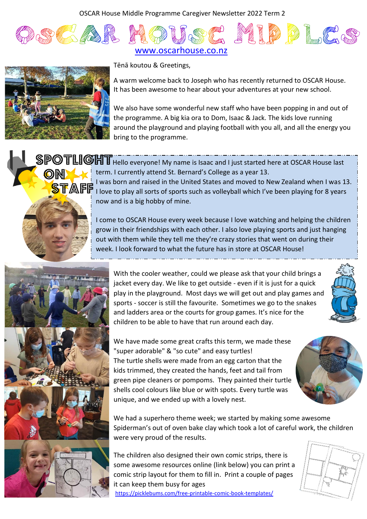OSCAR House Middle Programme Caregiver Newsletter 2022 Term 2





**ON** 

Tēnā koutou & Greetings,

A warm welcome back to Joseph who has recently returned to OSCAR House. It has been awesome to hear about your adventures at your new school.

We also have some wonderful new staff who have been popping in and out of the programme. A big kia ora to Dom, Isaac & Jack. The kids love running around the playground and playing football with you all, and all the energy you bring to the programme.

SPOTLIGHT Hello everyone! My name is Isaac and I just started here at OSCAR House last term. I currently attend St. Bernard's College as a year 13. I was born and raised in the United States and moved to New Zealand when I was 13. I love to play all sorts of sports such as volleyball which I've been playing for 8 years now and is a big hobby of mine. **STAFE** I was born an

> I come to OSCAR House every week because I love watching and helping the children grow in their friendships with each other. I also love playing sports and just hanging out with them while they tell me they're crazy stories that went on during their week. I look forward to what the future has in store at OSCAR House!



With the cooler weather, could we please ask that your child brings a jacket every day. We like to get outside - even if it is just for a quick play in the playground. Most days we will get out and play games and sports - soccer is still the favourite. Sometimes we go to the snakes and ladders area or the courts for group games. It's nice for the children to be able to have that run around each day.



We have made some great crafts this term, we made these "super adorable" & "so cute" and easy turtles! The turtle shells were made from an egg carton that the kids trimmed, they created the hands, feet and tail from green pipe cleaners or pompoms. They painted their turtle shells cool colours like blue or with spots. Every turtle was unique, and we ended up with a lovely nest.



We had a superhero theme week; we started by making some awesome Spiderman's out of oven bake clay which took a lot of careful work, the children were very proud of the results.

The children also designed their own comic strips, there is some awesome resources online (link below) you can print a comic strip layout for them to fill in. Print a couple of pages it can keep them busy for ages

<https://picklebums.com/free-printable-comic-book-templates/>

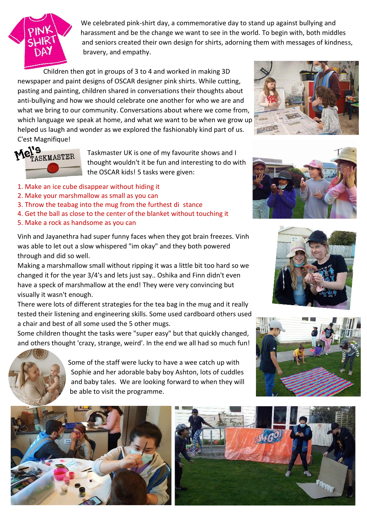

We celebrated pink-shirt day, a commemorative day to stand up against bullying and harassment and be the change we want to see in the world. To begin with, both middles and seniors created their own design for shirts, adorning them with messages of kindness, bravery, and empathy.

Children then got in groups of 3 to 4 and worked in making 3D newspaper and paint designs of OSCAR designer pink shirts. While cutting, pasting and painting, children shared in conversations their thoughts about anti-bullying and how we should celebrate one another for who we are and what we bring to our community. Conversations about where we come from, which language we speak at home, and what we want to be when we grow up helped us laugh and wonder as we explored the fashionably kind part of us. C'est Magnifique!





Taskmaster UK is one of my favourite shows and I thought wouldn't it be fun and interesting to do with the OSCAR kids! 5 tasks were given:

- 1. Make an ice cube disappear without hiding it
- 2. Make your marshmallow as small as you can
- 3. Throw the teabag into the mug from the furthest di stance
- 4. Get the ball as close to the center of the blanket without touching it
- 5. Make a rock as handsome as you can

Vinh and Jayanethra had super funny faces when they got brain freezes. Vinh was able to let out a slow whispered "im okay" and they both powered through and did so well.

Making a marshmallow small without ripping it was a little bit too hard so we changed it for the year 3/4's and lets just say.. Oshika and Finn didn't even have a speck of marshmallow at the end! They were very convincing but visually it wasn't enough.

There were lots of different strategies for the tea bag in the mug and it really tested their listening and engineering skills. Some used cardboard others used a chair and best of all some used the 5 other mugs.

Some children thought the tasks were "super easy" but that quickly changed, and others thought 'crazy, strange, weird'. In the end we all had so much fun!



Some of the staff were lucky to have a wee catch up with Sophie and her adorable baby boy Ashton, lots of cuddles and baby tales. We are looking forward to when they will be able to visit the programme.